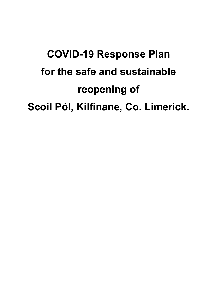# **COVID-19 Response Plan for the safe and sustainable reopening of Scoil Pól, Kilfinane, Co. Limerick.**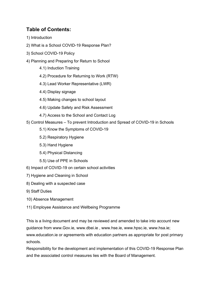## **Table of Contents:**

- 1) Introduction
- 2) What is a School COVID-19 Response Plan?
- 3) School COVID-19 Policy
- 4) Planning and Preparing for Return to School
	- 4.1) Induction Training
	- 4.2) Procedure for Returning to Work (RTW)
	- 4.3) Lead Worker Representative (LWR)
	- 4.4) Display signage
	- 4.5) Making changes to school layout
	- 4.6) Update Safety and Risk Assessment
	- 4.7) Access to the School and Contact Log
- 5) Control Measures To prevent Introduction and Spread of COVID-19 in Schools
	- 5.1) Know the Symptoms of COVID-19
	- 5.2) Respiratory Hygiene
	- 5.3) Hand Hygiene
	- 5.4) Physical Distancing
	- 5.5) Use of PPE in Schools
- 6) Impact of COVID-19 on certain school activities
- 7) Hygiene and Cleaning in School
- 8) Dealing with a suspected case
- 9) Staff Duties
- 10) Absence Management
- 11) Employee Assistance and Wellbeing Programme

This is a living document and may be reviewed and amended to take into account new guidance from www.Gov.ie, www.dbei.ie , www.hse.ie, www.hpsc.ie, www.hsa.ie; www.education.ie or agreements with education partners as appropriate for post primary schools.

Responsibility for the development and implementation of this COVID-19 Response Plan and the associated control measures lies with the Board of Management.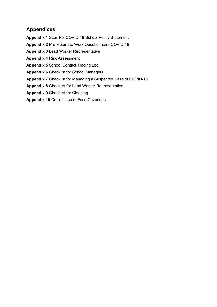## **Appendices**

**Appendix 1** Scoil Pól COVID-19 School Policy Statement

**Appendix 2** Pre-Return to Work Questionnaire COVID-19

**Appendix 3** Lead Worker Representative

**Appendix 4** Risk Assessment

**Appendix 5** School Contact Tracing Log

**Appendix 6** Checklist for School Managers

**Appendix 7** Checklist for Managing a Suspected Case of COVID-19

**Appendix 8** Checklist for Lead Worker Representative

**Appendix 9** Checklist for Cleaning

**Appendix 10** Correct use of Face Coverings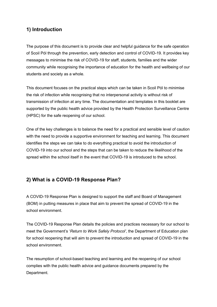# **1) Introduction**

The purpose of this document is to provide clear and helpful guidance for the safe operation of Scoil Pól through the prevention, early detection and control of COVID-19. It provides key messages to minimise the risk of COVID-19 for staff, students, families and the wider community while recognising the importance of education for the health and wellbeing of our students and society as a whole.

This document focuses on the practical steps which can be taken in Scoil Pól to minimise the risk of infection while recognising that no interpersonal activity is without risk of transmission of infection at any time. The documentation and templates in this booklet are supported by the public health advice provided by the Health Protection Surveillance Centre (HPSC) for the safe reopening of our school.

One of the key challenges is to balance the need for a practical and sensible level of caution with the need to provide a supportive environment for teaching and learning. This document identifies the steps we can take to do everything practical to avoid the introduction of COVID-19 into our school and the steps that can be taken to reduce the likelihood of the spread within the school itself in the event that COVID-19 is introduced to the school.

# **2) What is a COVID-19 Response Plan?**

A COVID-19 Response Plan is designed to support the staff and Board of Management (BOM) in putting measures in place that aim to prevent the spread of COVID-19 in the school environment.

The COVID-19 Response Plan details the policies and practices necessary for our school to meet the Government's '*Return to Work Safely Protocol'*, the Department of Education plan for school reopening that will aim to prevent the introduction and spread of COVID-19 in the school environment.

The resumption of school-based teaching and learning and the reopening of our school complies with the public health advice and guidance documents prepared by the Department.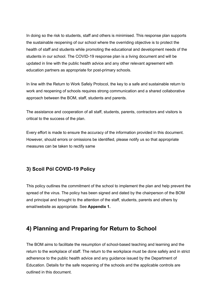In doing so the risk to students, staff and others is minimised. This response plan supports the sustainable reopening of our school where the overriding objective is to protect the health of staff and students while promoting the educational and development needs of the students in our school. The COVID-19 response plan is a living document and will be updated in line with the public health advice and any other relevant agreement with education partners as appropriate for post-primary schools.

In line with the Return to Work Safely Protocol, the key to a safe and sustainable return to work and reopening of schools requires strong communication and a shared collaborative approach between the BOM, staff, students and parents.

The assistance and cooperation of all staff, students, parents, contractors and visitors is critical to the success of the plan.

Every effort is made to ensure the accuracy of the information provided in this document. However, should errors or omissions be identified, please notify us so that appropriate measures can be taken to rectify same

## **3) Scoil Pól COVID-19 Policy**

This policy outlines the commitment of the school to implement the plan and help prevent the spread of the virus. The policy has been signed and dated by the chairperson of the BOM and principal and brought to the attention of the staff, students, parents and others by email/website as appropriate. See **Appendix 1.**

# **4) Planning and Preparing for Return to School**

The BOM aims to facilitate the resumption of school-based teaching and learning and the return to the workplace of staff. The return to the workplace must be done safely and in strict adherence to the public health advice and any guidance issued by the Department of Education. Details for the safe reopening of the schools and the applicable controls are outlined in this document.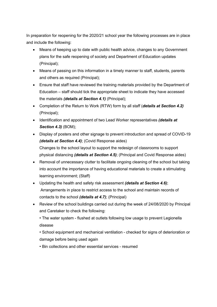In preparation for reopening for the 2020/21 school year the following processes are in place and include the following:

- Means of keeping up to date with public health advice, changes to any Government plans for the safe reopening of society and Department of Education updates (Principal);
- Means of passing on this information in a timely manner to staff, students, parents and others as required (Principal);
- Ensure that staff have reviewed the training materials provided by the Department of Education – staff should tick the appropriate sheet to indicate they have accessed the materials *(details at Section 4.1)* (Principal);
- Completion of the Return to Work (RTW) form by all staff (*details at Section 4.2)* (Principal);
- Identification and appointment of two Lead Worker representatives *(details at Section 4.3)* (BOM);
- Display of posters and other signage to prevent introduction and spread of COVID-19 *(details at Section 4.4)*; (Covid Response aides) Changes to the school layout to support the redesign of classrooms to support physical distancing *(details at Section 4.5)*; (Principal and Covid Response aides)
- Removal of unnecessary clutter to facilitate ongoing cleaning of the school but taking into account the importance of having educational materials to create a stimulating learning environment; (Staff)
- Updating the health and safety risk assessment *(details at Section 4.6)*; Arrangements in place to restrict access to the school and maintain records of contacts to the school *(details at 4.7)*; (Principal)
- Review of the school buildings carried out during the week of 24/08/2020 by Principal and Caretaker to check the following:

• The water system - flushed at outlets following low usage to prevent Legionella disease

• School equipment and mechanical ventilation - checked for signs of deterioration or damage before being used again

• Bin collections and other essential services - resumed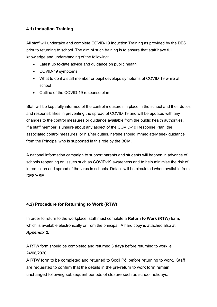### **4.1) Induction Training**

All staff will undertake and complete COVID-19 Induction Training as provided by the DES prior to returning to school. The aim of such training is to ensure that staff have full knowledge and understanding of the following:

- Latest up to-date advice and guidance on public health
- COVID-19 symptoms
- What to do if a staff member or pupil develops symptoms of COVID-19 while at school
- Outline of the COVID-19 response plan

Staff will be kept fully informed of the control measures in place in the school and their duties and responsibilities in preventing the spread of COVID-19 and will be updated with any changes to the control measures or guidance available from the public health authorities. If a staff member is unsure about any aspect of the COVID-19 Response Plan, the associated control measures, or his/her duties, he/she should immediately seek guidance from the Principal who is supported in this role by the BOM.

A national information campaign to support parents and students will happen in advance of schools reopening on issues such as COVID-19 awareness and to help minimise the risk of introduction and spread of the virus in schools. Details will be circulated when available from DES/HSE.

## **4.2) Procedure for Returning to Work (RTW)**

In order to return to the workplace, staff must complete a **Return to Work (RTW)** form, which is available electronically or from the principal. A hard copy is attached also at *Appendix 2.* 

A RTW form should be completed and returned **3 days** before returning to work ie 24/08/2020.

A RTW form to be completed and returned to Scoil Pól before returning to work. Staff are requested to confirm that the details in the pre-return to work form remain unchanged following subsequent periods of closure such as school holidays.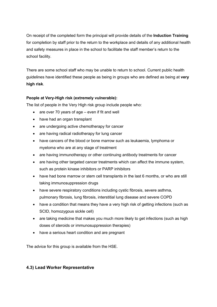On receipt of the completed form the principal will provide details of the **Induction Training**  for completion by staff prior to the return to the workplace and details of any additional health and safety measures in place in the school to facilitate the staff member's return to the school facility.

There are some school staff who may be unable to return to school. Current public health guidelines have identified these people as being in groups who are defined as being at **very high risk**.

#### **People at Very-High risk (extremely vulnerable):**

The list of people in the Very High risk group include people who:

- are over 70 years of age even if fit and well
- have had an organ transplant
- are undergoing active chemotherapy for cancer
- are having radical radiotherapy for lung cancer
- have cancers of the blood or bone marrow such as leukaemia, lymphoma or myeloma who are at any stage of treatment
- are having immunotherapy or other continuing antibody treatments for cancer
- are having other targeted cancer treatments which can affect the immune system, such as protein kinase inhibitors or PARP inhibitors
- have had bone marrow or stem cell transplants in the last 6 months, or who are still taking immunosuppression drugs
- have severe respiratory conditions including cystic fibrosis, severe asthma, pulmonary fibrosis, lung fibrosis, interstitial lung disease and severe COPD
- have a condition that means they have a very high risk of getting infections (such as SCID, homozygous sickle cell)
- are taking medicine that makes you much more likely to get infections (such as high doses of steroids or immunosuppression therapies)
- have a serious heart condition and are pregnant

The advice for this group is available from the HSE.

#### **4.3) Lead Worker Representative**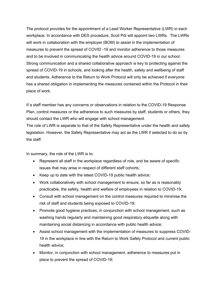The protocol provides for the appointment of a Lead Worker Representative (LWR) in each workplace. In accordance with DES procedure, Scoil Pól will appoint two LWRs. The LWRs will work in collaboration with the employer (BOM) to assist in the implementation of measures to prevent the spread of COVID -19 and monitor adherence to those measures and to be involved in communicating the health advice around COVID-19 in our school. Strong communication and a shared collaborative approach is key to protecting against the spread of COVID-19 in schools, and looking after the health, safety and wellbeing of staff and students. Adherence to the Return to Work Protocol will only be achieved if everyone has a shared obligation in implementing the measures contained within the Protocol in their place of work.

If a staff member has any concerns or observations in relation to the COVID-19 Response Plan, control measures or the adherence to such measures by staff, students or others, they should contact the LWR who will engage with school management.

The role of LWR is separate to that of the Safety Representative under the health and safety legislation. However, the Safety Representative may act as the LWR if selected to do so by the staff.

In summary, the role of the LWR is to:

- Represent all staff in the workplace regardless of role, and be aware of specific issues that may arise in respect of different staff cohorts;
- Keep up to date with the latest COVID-19 public health advice;
- Work collaboratively with school management to ensure, so far as is reasonably practicable, the safety, health and welfare of employees in relation to COVID-19;
- Consult with school management on the control measures required to minimise the risk of staff and students being exposed to COVID-19;
- Promote good hygiene practices, in conjunction with school management, such as washing hands regularly and maintaining good respiratory etiquette along with maintaining social distancing in accordance with public health advice;
- Assist school management with the implementation of measures to suppress COVID-19 in the workplace in line with the Return to Work Safely Protocol and current public health advice;
- Monitor, in conjunction with school management, adherence to measures put in place to prevent the spread of COVID-19;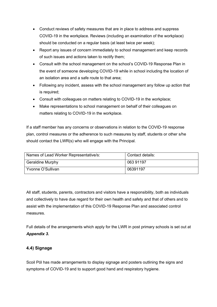- Conduct reviews of safety measures that are in place to address and suppress COVID-19 in the workplace. Reviews (including an examination of the workplace) should be conducted on a regular basis (at least twice per week);
- Report any issues of concern immediately to school management and keep records of such issues and actions taken to rectify them;
- Consult with the school management on the school's COVID-19 Response Plan in the event of someone developing COVID-19 while in school including the location of an isolation area and a safe route to that area;
- Following any incident, assess with the school management any follow up action that is required;
- Consult with colleagues on matters relating to COVID-19 in the workplace;
- Make representations to school management on behalf of their colleagues on matters relating to COVID-19 in the workplace.

If a staff member has any concerns or observations in relation to the COVID-19 response plan, control measures or the adherence to such measures by staff, students or other s/he should contact the LWR(s) who will engage with the Principal.

| Names of Lead Worker Representative/s: | Contact details: |
|----------------------------------------|------------------|
| <b>Geraldine Murphy</b>                | 063 91197        |
| Yvonne O'Sullivan                      | 06391197         |

All staff, students, parents, contractors and visitors have a responsibility, both as individuals and collectively to have due regard for their own health and safety and that of others and to assist with the implementation of this COVID-19 Response Plan and associated control measures.

Full details of the arrangements which apply for the LWR in post primary schools is set out at *Appendix 3***.** 

#### **4.4) Signage**

Scoil Pól has made arrangements to display signage and posters outlining the signs and symptoms of COVID-19 and to support good hand and respiratory hygiene.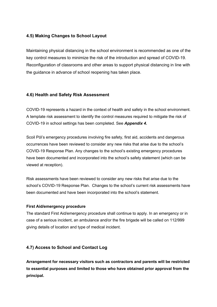#### **4.5) Making Changes to School Layout**

Maintaining physical distancing in the school environment is recommended as one of the key control measures to minimize the risk of the introduction and spread of COVID-19. Reconfiguration of classrooms and other areas to support physical distancing in line with the guidance in advance of school reopening has taken place.

#### **4.6) Health and Safety Risk Assessment**

COVID-19 represents a hazard in the context of health and safety in the school environment. A template risk assessment to identify the control measures required to mitigate the risk of COVID-19 in school settings has been completed. See *Appendix 4.* 

Scoil Pól's emergency procedures involving fire safety, first aid, accidents and dangerous occurrences have been reviewed to consider any new risks that arise due to the school's COVID-19 Response Plan. Any changes to the school's existing emergency procedures have been documented and incorporated into the school's safety statement (which can be viewed at reception).

Risk assessments have been reviewed to consider any new risks that arise due to the school's COVID-19 Response Plan. Changes to the school's current risk assessments have been documented and have been incorporated into the school's statement.

#### **First Aid/emergency procedure**

The standard First Aid/emergency procedure shall continue to apply. In an emergency or in case of a serious incident, an ambulance and/or the fire brigade will be called on 112/999 giving details of location and type of medical incident.

#### **4.7) Access to School and Contact Log**

**Arrangement for necessary visitors such as contractors and parents will be restricted to essential purposes and limited to those who have obtained prior approval from the principal.**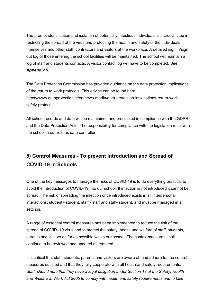The prompt identification and isolation of potentially infectious individuals is a crucial step in restricting the spread of the virus and protecting the health and safety of the individuals themselves and other staff, contractors and visitors at the workplace. A detailed sign in/sign out log of those entering the school facilities will be maintained. The school will maintain a log of staff and students contacts. A visitor contact log will have to be completed. See *Appendix 5***.** 

The Data Protection Commission has provided guidance on the data protection implications of the return to work protocols. This advice can be found here: https://www.dataprotection.ie/en/news-media/data-protection-implications-return-worksafely-protocol

All school records and data will be maintained and processed in compliance with the GDPR and the Data Protection Acts. The responsibility for compliance with the legislation rests with the school in our role as data controller.

# **5) Control Measures - To prevent Introduction and Spread of COVID-19 in Schools**

One of the key messages to manage the risks of COVID-19 is to do everything practical to avoid the introduction of COVID-19 into our school. If infection is not introduced it cannot be spread. The risk of spreading the infection once introduced exists in all interpersonal interactions; student - student, staff - staff and staff- student, and must be managed in all settings.

A range of essential control measures has been implemented to reduce the risk of the spread of COVID -19 virus and to protect the safety, health and welfare of staff, students, parents and visitors as far as possible within our school. The control measures shall continue to be reviewed and updated as required.

It is critical that staff, students, parents and visitors are aware of, and adhere to, the control measures outlined and that they fully cooperate with all health and safety requirements. *Staff, should note that they have a legal obligation under Section 13 of the Safety, Health and Welfare at Work Act 2005 to comply with health and safety requirements and to take*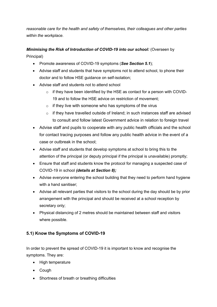*reasonable care for the health and safety of themselves, their colleagues and other parties within the workplace.* 

# *Minimising the Risk of Introduction of COVID-19 into our school:* (Overseen by

Principal)

- Promote awareness of COVID-19 symptoms (*See Section 5.1*);
- Advise staff and students that have symptoms not to attend school, to phone their doctor and to follow HSE guidance on self-isolation;
- Advise staff and students not to attend school
	- o if they have been identified by the HSE as contact for a person with COVID-19 and to follow the HSE advice on restriction of movement;
	- $\circ$  if they live with someone who has symptoms of the virus
	- o if they have travelled outside of Ireland; in such instances staff are advised to consult and follow latest Government advice in relation to foreign travel
- Advise staff and pupils to cooperate with any public health officials and the school for contact tracing purposes and follow any public health advice in the event of a case or outbreak in the school;
- Advise staff and students that develop symptoms at school to bring this to the attention of the principal (or deputy principal if the principal is unavailable) promptly;
- Ensure that staff and students know the protocol for managing a suspected case of COVID-19 in school *(details at Section 8);*
- Advise everyone entering the school building that they need to perform hand hygiene with a hand sanitiser;
- Advise all relevant parties that visitors to the school during the day should be by prior arrangement with the principal and should be received at a school reception by secretary only;
- Physical distancing of 2 metres should be maintained between staff and visitors where possible.

## **5.1) Know the Symptoms of COVID-19**

In order to prevent the spread of COVID-19 it is important to know and recognise the symptoms. They are:

- High temperature
- Cough
- Shortness of breath or breathing difficulties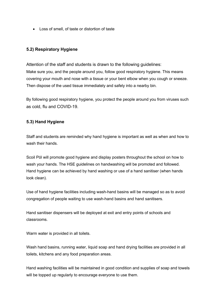• Loss of smell, of taste or distortion of taste

#### **5.2) Respiratory Hygiene**

Attention of the staff and students is drawn to the following guidelines: Make sure you, and the people around you, follow good respiratory hygiene. This means covering your mouth and nose with a tissue or your bent elbow when you cough or sneeze. Then dispose of the used tissue immediately and safely into a nearby bin.

By following good respiratory hygiene, you protect the people around you from viruses such as cold, flu and COVID-19.

#### **5.3) Hand Hygiene**

Staff and students are reminded why hand hygiene is important as well as when and how to wash their hands

Scoil Pól will promote good hygiene and display posters throughout the school on how to wash your hands. The HSE guidelines on handwashing will be promoted and followed. Hand hygiene can be achieved by hand washing or use of a hand sanitiser (when hands look clean).

Use of hand hygiene facilities including wash-hand basins will be managed so as to avoid congregation of people waiting to use wash-hand basins and hand sanitisers.

Hand sanitiser dispensers will be deployed at exit and entry points of schools and classrooms.

Warm water is provided in all toilets.

Wash hand basins, running water, liquid soap and hand drying facilities are provided in all toilets, kitchens and any food preparation areas.

Hand washing facilities will be maintained in good condition and supplies of soap and towels will be topped up regularly to encourage everyone to use them.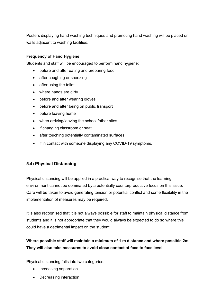Posters displaying hand washing techniques and promoting hand washing will be placed on walls adjacent to washing facilities.

#### **Frequency of Hand Hygiene**

Students and staff will be encouraged to perform hand hygiene:

- before and after eating and preparing food
- after coughing or sneezing
- after using the toilet
- where hands are dirty
- before and after wearing gloves
- before and after being on public transport
- before leaving home
- when arriving/leaving the school /other sites
- if changing classroom or seat
- after touching potentially contaminated surfaces
- if in contact with someone displaying any COVID-19 symptoms.

#### **5.4) Physical Distancing**

Physical distancing will be applied in a practical way to recognise that the learning environment cannot be dominated by a potentially counterproductive focus on this issue. Care will be taken to avoid generating tension or potential conflict and some flexibility in the implementation of measures may be required.

It is also recognised that it is not always possible for staff to maintain physical distance from students and it is not appropriate that they would always be expected to do so where this could have a detrimental impact on the student.

## **Where possible staff will maintain a minimum of 1 m distance and where possible 2m. They will also take measures to avoid close contact at face to face level**

Physical distancing falls into two categories:

- Increasing separation
- Decreasing interaction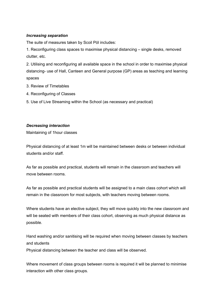#### *Increasing separation*

The suite of measures taken by Scoil Pól includes:

1. Reconfiguring class spaces to maximise physical distancing – single desks, removed clutter, etc.

2. Utilising and reconfiguring all available space in the school in order to maximise physical distancing- use of Hall, Canteen and General purpose (GP) areas as teaching and learning spaces

- 3. Review of Timetables
- 4. Reconfiguring of Classes
- 5. Use of Live Streaming within the School (as necessary and practical)

#### *Decreasing interaction*

Maintaining of 1hour classes

Physical distancing of at least 1m will be maintained between desks or between individual students and/or staff.

As far as possible and practical, students will remain in the classroom and teachers will move between rooms.

As far as possible and practical students will be assigned to a main class cohort which will remain in the classroom for most subjects, with teachers moving between rooms.

Where students have an elective subject, they will move quickly into the new classroom and will be seated with members of their class cohort, observing as much physical distance as possible.

Hand washing and/or sanitising will be required when moving between classes by teachers and students

Physical distancing between the teacher and class will be observed.

Where movement of class groups between rooms is required it will be planned to minimise interaction with other class groups.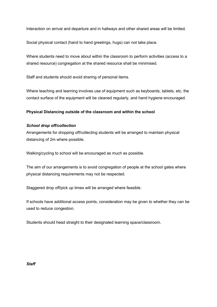Interaction on arrival and departure and in hallways and other shared areas will be limited.

Social physical contact (hand to hand greetings, hugs) can not take place.

Where students need to move about within the classroom to perform activities (access to a shared resource) congregation at the shared resource shall be minimised.

Staff and students should avoid sharing of personal items.

Where teaching and learning involves use of equipment such as keyboards, tablets, etc, the contact surface of the equipment will be cleaned regularly, and hand hygiene encouraged.

#### **Physical Distancing outside of the classroom and within the school**

#### *School drop off/collection*

Arrangements for dropping off/collecting students will be arranged to maintain physical distancing of 2m where possible.

Walking/cycling to school will be encouraged as much as possible.

The aim of our arrangements is to avoid congregation of people at the school gates where physical distancing requirements may not be respected.

Staggered drop off/pick up times will be arranged where feasible.

If schools have additional access points, consideration may be given to whether they can be used to reduce congestion.

Students should head straight to their designated learning space/classroom.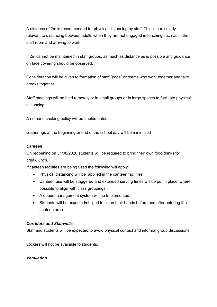A distance of 2m is recommended for physical distancing by staff. This is particularly relevant to distancing between adults when they are not engaged in teaching such as in the staff room and arriving to work.

If 2m cannot be maintained in staff groups, as much as distance as is possible and guidance on face covering should be observed.

Consideration will be given to formation of staff "pods" or teams who work together and take breaks together.

Staff meetings will be held remotely or in small groups or in large spaces to facilitate physical distancing.

A no hand shaking policy will be Implemented

Gatherings at the beginning or end of the school day will be minimised

#### *Canteen*

On reopening on 31/08/2020 students will be required to bring their own food/drinks for break/lunch.

If canteen facilities are being used the following will apply:

- Physical distancing will be applied in the canteen facilities
- Canteen use will be staggered and extended serving times will be put in place where possible to align with class groupings.
- A queue management system will be Implemented.
- Students will be expected/obliged to clean their hands before and after entering the canteen area.

#### *Corridors and Stairwells*

Staff and students will be expected to avoid physical contact and informal group discussions.

Lockers will not be available to students.

#### *Ventilation*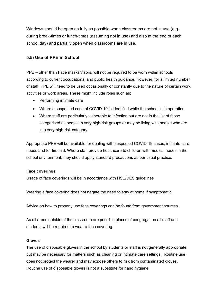Windows should be open as fully as possible when classrooms are not in use (e.g. during break-times or lunch-times (assuming not in use) and also at the end of each school day) and partially open when classrooms are in use.

#### **5.5) Use of PPE in School**

PPE – other than Face masks/visors, will not be required to be worn within schools according to current occupational and public health guidance. However, for a limited number of staff, PPE will need to be used occasionally or constantly due to the nature of certain work activities or work areas. These might include roles such as:

- Performing intimate care
- Where a suspected case of COVID-19 is identified while the school is in operation
- Where staff are particularly vulnerable to infection but are not in the list of those categorised as people in very high-risk groups or may be living with people who are in a very high-risk category.

Appropriate PPE will be available for dealing with suspected COVID-19 cases, intimate care needs and for first aid. Where staff provide healthcare to children with medical needs in the school environment, they should apply standard precautions as per usual practice.

#### **Face coverings**

Usage of face coverings will be in accordance with HSE/DES guidelines

Wearing a face covering does not negate the need to stay at home if symptomatic.

Advice on how to properly use face coverings can be found from government sources.

As all areas outside of the classroom are possible places of congregation all staff and students will be required to wear a face covering.

#### **Gloves**

The use of disposable gloves in the school by students or staff is not generally appropriate but may be necessary for matters such as cleaning or intimate care settings. Routine use does not protect the wearer and may expose others to risk from contaminated gloves. Routine use of disposable gloves is not a substitute for hand hygiene.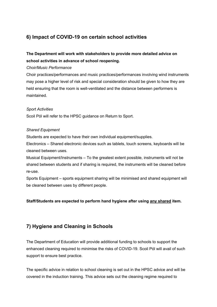# **6) Impact of COVID-19 on certain school activities**

## **The Department will work with stakeholders to provide more detailed advice on school activities in advance of school reopening.**

#### *Choir/Music Performance*

Choir practices/performances and music practices/performances involving wind instruments may pose a higher level of risk and special consideration should be given to how they are held ensuring that the room is well-ventilated and the distance between performers is maintained.

#### *Sport Activities*

Scoil Pól will refer to the HPSC guidance on Return to Sport.

#### *Shared Equipment*

Students are expected to have their own individual equipment/supplies.

Electronics – Shared electronic devices such as tablets, touch screens, keyboards will be cleaned between uses.

Musical Equipment/Instruments – To the greatest extent possible, instruments will not be shared between students and if sharing is required, the instruments will be cleaned before re-use.

Sports Equipment – sports equipment sharing will be minimised and shared equipment will be cleaned between uses by different people.

#### **Staff/Students are expected to perform hand hygiene after using any shared item.**

# **7) Hygiene and Cleaning in Schools**

The Department of Education will provide additional funding to schools to support the enhanced cleaning required to minimise the risks of COVID-19. Scoil Pól will avail of such support to ensure best practice.

The specific advice in relation to school cleaning is set out in the HPSC advice and will be covered in the induction training. This advice sets out the cleaning regime required to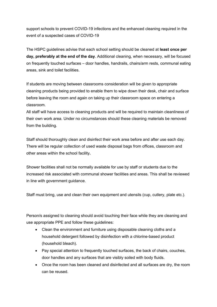support schools to prevent COVID-19 infections and the enhanced cleaning required in the event of a suspected cases of COVID-19

The HSPC guidelines advise that each school setting should be cleaned at **least once per day, preferably at the end of the day**. Additional cleaning, when necessary, will be focused on frequently touched surfaces – door handles, handrails, chairs/arm rests, communal eating areas, sink and toilet facilities.

If students are moving between classrooms consideration will be given to appropriate cleaning products being provided to enable them to wipe down their desk, chair and surface before leaving the room and again on taking up their classroom space on entering a classroom.

All staff will have access to cleaning products and will be required to maintain cleanliness of their own work area. Under no circumstances should these cleaning materials be removed from the building.

Staff should thoroughly clean and disinfect their work area before and after use each day. There will be regular collection of used waste disposal bags from offices, classroom and other areas within the school facility**.** 

Shower facilities shall not be normally available for use by staff or students due to the increased risk associated with communal shower facilities and areas. This shall be reviewed in line with government guidance.

Staff must bring, use and clean their own equipment and utensils (cup, cutlery, plate etc.).

Person/s assigned to cleaning should avoid touching their face while they are cleaning and use appropriate PPE and follow these guidelines:

- Clean the environment and furniture using disposable cleaning cloths and a household detergent followed by disinfection with a chlorine-based product (household bleach).
- Pay special attention to frequently touched surfaces, the back of chairs, couches, door handles and any surfaces that are visibly soiled with body fluids.
- Once the room has been cleaned and disinfected and all surfaces are dry, the room can be reused.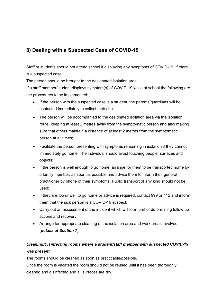# **8) Dealing with a Suspected Case of COVID-19**

Staff or students should not attend school if displaying any symptoms of COVID-19. If there is a suspected case:

The person should be brought to the designated isolation area.

If a staff member/student displays symptom(s) of COVID-19 while at school the following are the procedures to be implemented:

- If the person with the suspected case is a student, the parents/guardians will be contacted immediately to collect their child;
- The person will be accompanied to the designated isolation area via the isolation route, keeping at least 2 metres away from the symptomatic person and also making sure that others maintain a distance of at least 2 metres from the symptomatic person at all times;
- Facilitate the person presenting with symptoms remaining in isolation if they cannot immediately go home. The individual should avoid touching people, surfaces and objects;
- If the person is well enough to go home, arrange for them to be transported home by a family member, as soon as possible and advise them to inform their general practitioner by phone of their symptoms. Public transport of any kind should not be used;
- If they are too unwell to go home or advice is required, contact 999 or 112 and inform them that the sick person is a COVID-19 suspect;
- Carry out an assessment of the incident which will form part of determining follow-up actions and recovery;
- Arrange for appropriate cleaning of the isolation area and work areas involved (*details at Section 7*)

# *Cleaning/Disinfecting rooms where a student/staff member with suspected COVID-19 was present*

The rooms should be cleaned as soon as practicable/possible.

Once the room is vacated the room should not be reused until it has been thoroughly cleaned and disinfected and all surfaces are dry.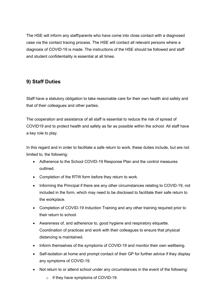The HSE will inform any staff/parents who have come into close contact with a diagnosed case via the contact tracing process. The HSE will contact all relevant persons where a diagnosis of COVID-19 is made. The instructions of the HSE should be followed and staff and student confidentiality is essential at all times.

## **9) Staff Duties**

Staff have a statutory obligation to take reasonable care for their own health and safety and that of their colleagues and other parties.

The cooperation and assistance of all staff is essential to reduce the risk of spread of COVID19 and to protect health and safety as far as possible within the school. All staff have a key role to play.

In this regard and in order to facilitate a safe return to work, these duties include, but are not limited to, the following:

- Adherence to the School COVID-19 Response Plan and the control measures outlined.
- Completion of the RTW form before they return to work.
- Informing the Principal if there are any other circumstances relating to COVID-19, not included in the form, which may need to be disclosed to facilitate their safe return to the workplace.
- Completion of COVID-19 Induction Training and any other training required prior to their return to school.
- Awareness of, and adherence to, good hygiene and respiratory etiquette. Coordination of practices and work with their colleagues to ensure that physical distancing is maintained.
- Inform themselves of the symptoms of COVID-19 and monitor their own wellbeing.
- Self-isolation at home and prompt contact of their GP for further advice if they display any symptoms of COVID-19.
- Not return to or attend school under any circumstances in the event of the following:
	- o if they have symptoms of COVID-19.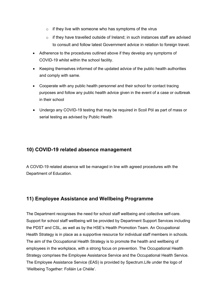- $\circ$  if they live with someone who has symptoms of the virus
- o if they have travelled outside of Ireland; in such instances staff are advised to consult and follow latest Government advice in relation to foreign travel.
- Adherence to the procedures outlined above if they develop any symptoms of COVID-19 whilst within the school facility.
- Keeping themselves informed of the updated advice of the public health authorities and comply with same.
- Cooperate with any public health personnel and their school for contact tracing purposes and follow any public health advice given in the event of a case or outbreak in their school
- Undergo any COVID-19 testing that may be required in Scoil Pól as part of mass or serial testing as advised by Public Health

## **10) COVID-19 related absence management**

A COVID-19 related absence will be managed in line with agreed procedures with the Department of Education.

## **11) Employee Assistance and Wellbeing Programme**

The Department recognises the need for school staff wellbeing and collective self-care. Support for school staff wellbeing will be provided by Department Support Services including the PDST and CSL, as well as by the HSE's Health Promotion Team. An Occupational Health Strategy is in place as a supportive resource for individual staff members in schools. The aim of the Occupational Health Strategy is to promote the health and wellbeing of employees in the workplace, with a strong focus on prevention. The Occupational Health Strategy comprises the Employee Assistance Service and the Occupational Health Service. The Employee Assistance Service (EAS) is provided by Spectrum.Life under the logo of 'Wellbeing Together: Folláin Le Chéile'.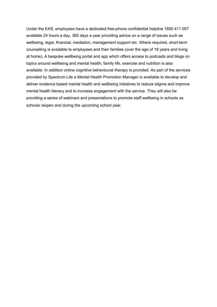Under the EAS, employees have a dedicated free-phone confidential helpline 1800 411 057 available 24 hours a day, 365 days a year providing advice on a range of issues such as wellbeing, legal, financial, mediation, management support etc. Where required, short-term counselling is available to employees and their families (over the age of 18 years and living at home). A bespoke wellbeing portal and app which offers access to podcasts and blogs on topics around wellbeing and mental health, family life, exercise and nutrition is also available. In addition online cognitive behavioural therapy is provided. As part of the services provided by Spectrum.Life a Mental Health Promotion Manager is available to develop and deliver evidence based mental health and wellbeing initiatives to reduce stigma and improve mental health literacy and to increase engagement with the service. They will also be providing a series of webinars and presentations to promote staff wellbeing in schools as schools reopen and during the upcoming school year.